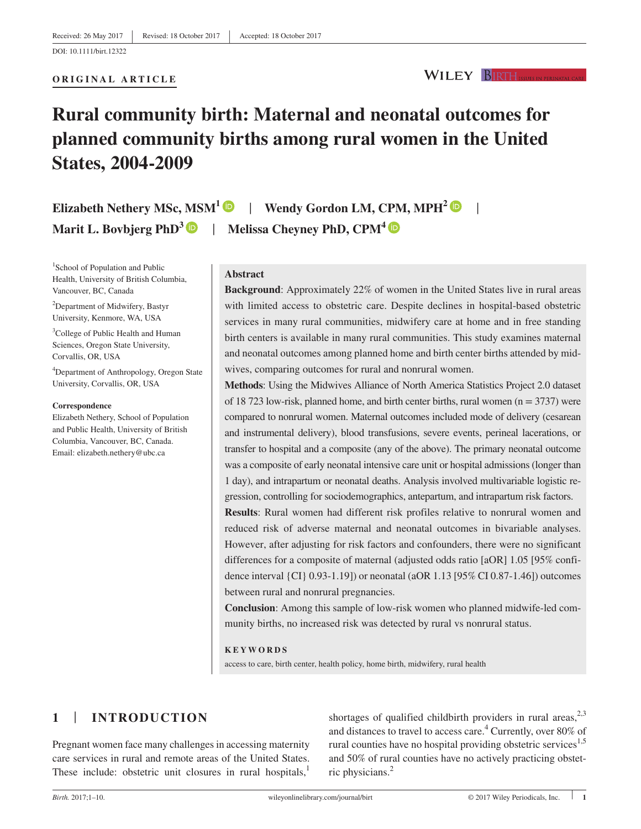#### **ORIGINAL ARTICLE**

**WILEY BIRTH ISSUES IN PERINATAL** 

# **Rural community birth: Maternal and neonatal outcomes for planned community births among rural women in the United States, 2004-2009**

**Elizabeth Nethery MSc, MSM<sup>1</sup>**  $\bullet$  **| Wendy Gordon LM, CPM, MPH<sup>2</sup>**  $\bullet$  **| Marit L. Bovbjerg PhD<sup>3</sup>**  $\bullet$  **| Melissa Cheyney PhD, CPM<sup>4</sup>**  $\bullet$ 

<sup>1</sup>School of Population and Public Health, University of British Columbia, Vancouver, BC, Canada

<sup>2</sup>Department of Midwifery, Bastyr University, Kenmore, WA, USA

<sup>3</sup>College of Public Health and Human Sciences, Oregon State University, Corvallis, OR, USA

4 Department of Anthropology, Oregon State University, Corvallis, OR, USA

#### **Correspondence**

Elizabeth Nethery, School of Population and Public Health, University of British Columbia, Vancouver, BC, Canada. Email: elizabeth.nethery@ubc.ca

# **Abstract**

**Background**: Approximately 22% of women in the United States live in rural areas with limited access to obstetric care. Despite declines in hospital-based obstetric services in many rural communities, midwifery care at home and in free standing birth centers is available in many rural communities. This study examines maternal and neonatal outcomes among planned home and birth center births attended by midwives, comparing outcomes for rural and nonrural women.

**Methods**: Using the Midwives Alliance of North America Statistics Project 2.0 dataset of 18 723 low-risk, planned home, and birth center births, rural women ( $n = 3737$ ) were compared to nonrural women. Maternal outcomes included mode of delivery (cesarean and instrumental delivery), blood transfusions, severe events, perineal lacerations, or transfer to hospital and a composite (any of the above). The primary neonatal outcome was a composite of early neonatal intensive care unit or hospital admissions (longer than 1 day), and intrapartum or neonatal deaths. Analysis involved multivariable logistic regression, controlling for sociodemographics, antepartum, and intrapartum risk factors.

**Results**: Rural women had different risk profiles relative to nonrural women and reduced risk of adverse maternal and neonatal outcomes in bivariable analyses. However, after adjusting for risk factors and confounders, there were no significant differences for a composite of maternal (adjusted odds ratio [aOR] 1.05 [95% confidence interval {CI} 0.93-1.19]) or neonatal (aOR 1.13 [95% CI 0.87-1.46]) outcomes between rural and nonrural pregnancies.

**Conclusion**: Among this sample of low-risk women who planned midwife-led community births, no increased risk was detected by rural vs nonrural status.

#### **KEYWORDS**

access to care, birth center, health policy, home birth, midwifery, rural health

# **1** | **INTRODUCTION**

Pregnant women face many challenges in accessing maternity care services in rural and remote areas of the United States. These include: obstetric unit closures in rural hospitals, $<sup>1</sup>$ </sup>

shortages of qualified childbirth providers in rural areas,  $2^{3}$ and distances to travel to access care.<sup>4</sup> Currently, over 80% of rural counties have no hospital providing obstetric services<sup>1,5</sup> and 50% of rural counties have no actively practicing obstetric physicians.<sup>2</sup>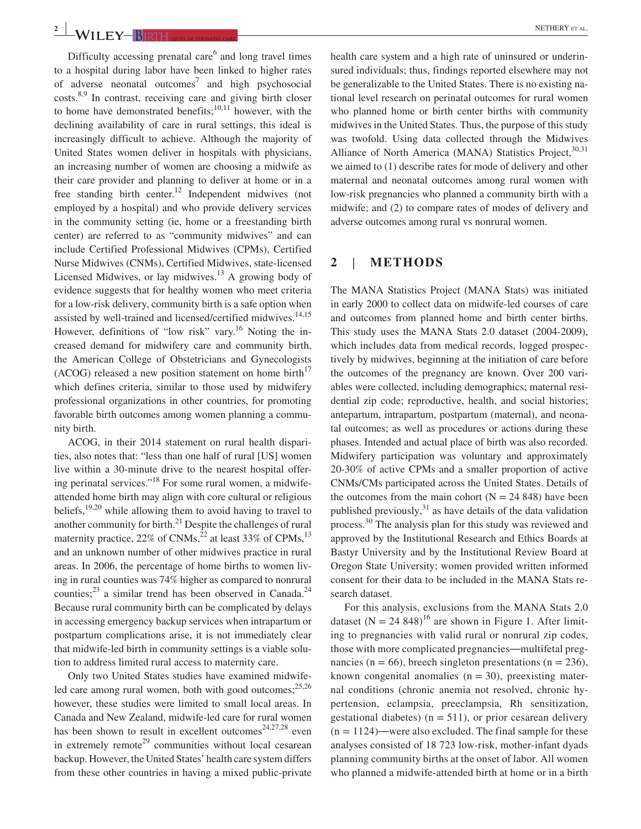**2 WII FY** RIRTH **ACCOUNTED CONFIDENCE** 

Difficulty accessing prenatal care<sup>6</sup> and long travel times to a hospital during labor have been linked to higher rates of adverse neonatal outcomes<sup>7</sup> and high psychosocial costs.8,9 In contrast, receiving care and giving birth closer to home have demonstrated benefits; $10,11$  however, with the declining availability of care in rural settings, this ideal is increasingly difficult to achieve. Although the majority of United States women deliver in hospitals with physicians, an increasing number of women are choosing a midwife as their care provider and planning to deliver at home or in a free standing birth center.<sup>12</sup> Independent midwives (not employed by a hospital) and who provide delivery services in the community setting (ie, home or a freestanding birth center) are referred to as "community midwives" and can include Certified Professional Midwives (CPMs), Certified Nurse Midwives (CNMs), Certified Midwives, state-licensed Licensed Midwives, or lay midwives. $13$  A growing body of evidence suggests that for healthy women who meet criteria for a low-risk delivery, community birth is a safe option when assisted by well-trained and licensed/certified midwives.<sup>14,15</sup> However, definitions of "low risk" vary.<sup>16</sup> Noting the increased demand for midwifery care and community birth, the American College of Obstetricians and Gynecologists (ACOG) released a new position statement on home birth<sup>17</sup> which defines criteria, similar to those used by midwifery professional organizations in other countries, for promoting favorable birth outcomes among women planning a community birth.

ACOG, in their 2014 statement on rural health disparities, also notes that: "less than one half of rural [US] women live within a 30-minute drive to the nearest hospital offering perinatal services."18 For some rural women, a midwifeattended home birth may align with core cultural or religious beliefs,  $19,20$  while allowing them to avoid having to travel to another community for birth. $^{21}$  Despite the challenges of rural maternity practice,  $22\%$  of CNMs,<sup>22</sup> at least 33% of CPMs,<sup>13</sup> and an unknown number of other midwives practice in rural areas. In 2006, the percentage of home births to women living in rural counties was 74% higher as compared to nonrural counties; $^{23}$  a similar trend has been observed in Canada.<sup>24</sup> Because rural community birth can be complicated by delays in accessing emergency backup services when intrapartum or postpartum complications arise, it is not immediately clear that midwife-led birth in community settings is a viable solution to address limited rural access to maternity care.

Only two United States studies have examined midwifeled care among rural women, both with good outcomes; $^{25,26}$ however, these studies were limited to small local areas. In Canada and New Zealand, midwife-led care for rural women has been shown to result in excellent outcomes<sup>24,27,28</sup> even in extremely remote<sup>29</sup> communities without local cesarean backup. However, the United States' health care system differs from these other countries in having a mixed public-private

health care system and a high rate of uninsured or underinsured individuals; thus, findings reported elsewhere may not be generalizable to the United States. There is no existing national level research on perinatal outcomes for rural women who planned home or birth center births with community midwives in the United States. Thus, the purpose of this study was twofold. Using data collected through the Midwives Alliance of North America (MANA) Statistics Project,  $30,31$ we aimed to (1) describe rates for mode of delivery and other maternal and neonatal outcomes among rural women with low-risk pregnancies who planned a community birth with a midwife; and (2) to compare rates of modes of delivery and adverse outcomes among rural vs nonrural women.

# **2** | **METHODS**

The MANA Statistics Project (MANA Stats) was initiated in early 2000 to collect data on midwife-led courses of care and outcomes from planned home and birth center births. This study uses the MANA Stats 2.0 dataset (2004-2009), which includes data from medical records, logged prospectively by midwives, beginning at the initiation of care before the outcomes of the pregnancy are known. Over 200 variables were collected, including demographics; maternal residential zip code; reproductive, health, and social histories; antepartum, intrapartum, postpartum (maternal), and neonatal outcomes; as well as procedures or actions during these phases. Intended and actual place of birth was also recorded. Midwifery participation was voluntary and approximately 20-30% of active CPMs and a smaller proportion of active CNMs/CMs participated across the United States. Details of the outcomes from the main cohort  $(N = 24 848)$  have been published previously,  $31$  as have details of the data validation process.<sup>30</sup> The analysis plan for this study was reviewed and approved by the Institutional Research and Ethics Boards at Bastyr University and by the Institutional Review Board at Oregon State University; women provided written informed consent for their data to be included in the MANA Stats research dataset.

For this analysis, exclusions from the MANA Stats 2.0 dataset  $(N = 24848)^{16}$  are shown in Figure 1. After limiting to pregnancies with valid rural or nonrural zip codes, those with more complicated pregnancies—multifetal pregnancies (n = 66), breech singleton presentations (n = 236), known congenital anomalies  $(n = 30)$ , preexisting maternal conditions (chronic anemia not resolved, chronic hypertension, eclampsia, preeclampsia, Rh sensitization, gestational diabetes) ( $n = 511$ ), or prior cesarean delivery  $(n = 1124)$ —were also excluded. The final sample for these analyses consisted of 18 723 low-risk, mother-infant dyads planning community births at the onset of labor. All women who planned a midwife-attended birth at home or in a birth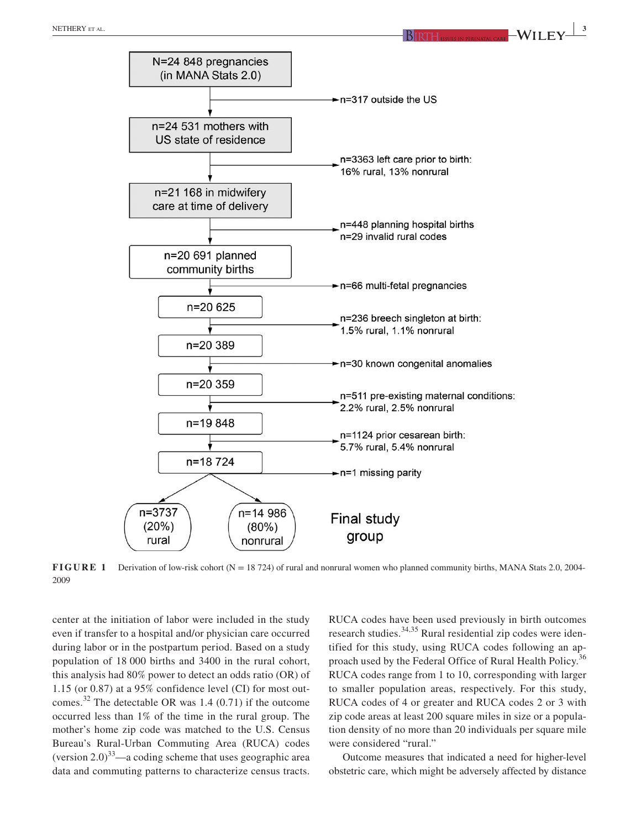



**FIGURE 1** Derivation of low-risk cohort (N = 18 724) of rural and nonrural women who planned community births, MANA Stats 2.0, 2004-2009

center at the initiation of labor were included in the study even if transfer to a hospital and/or physician care occurred during labor or in the postpartum period. Based on a study population of 18 000 births and 3400 in the rural cohort, this analysis had 80% power to detect an odds ratio (OR) of 1.15 (or 0.87) at a 95% confidence level (CI) for most outcomes.<sup>32</sup> The detectable OR was 1.4 (0.71) if the outcome occurred less than 1% of the time in the rural group. The mother's home zip code was matched to the U.S. Census Bureau's Rural-Urban Commuting Area (RUCA) codes (version  $2.0$ )<sup>33</sup>—a coding scheme that uses geographic area data and commuting patterns to characterize census tracts. RUCA codes have been used previously in birth outcomes research studies.<sup>34,35</sup> Rural residential zip codes were identified for this study, using RUCA codes following an approach used by the Federal Office of Rural Health Policy.<sup>36</sup> RUCA codes range from 1 to 10, corresponding with larger to smaller population areas, respectively. For this study, RUCA codes of 4 or greater and RUCA codes 2 or 3 with zip code areas at least 200 square miles in size or a population density of no more than 20 individuals per square mile were considered "rural."

Outcome measures that indicated a need for higher-level obstetric care, which might be adversely affected by distance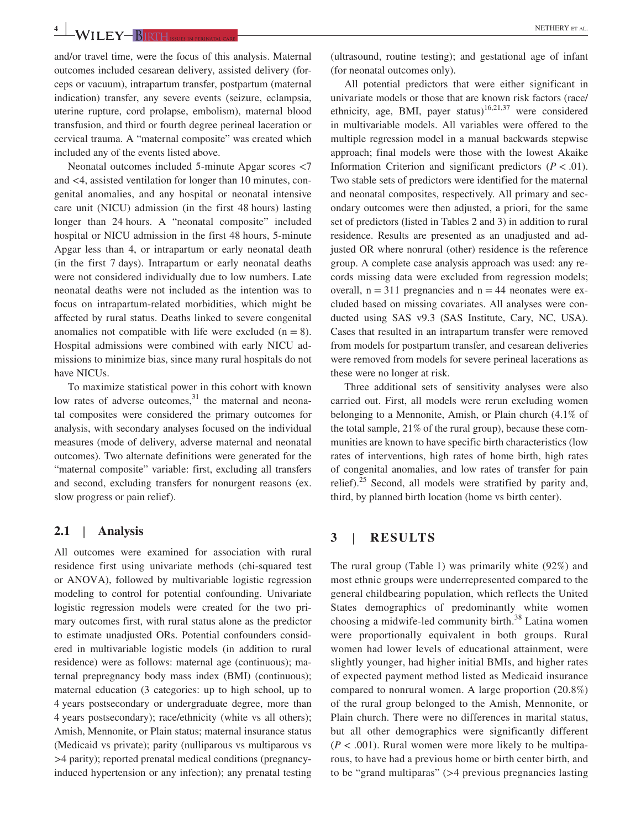**4 WII FY** RIGHTH **EXECUTE: AL. NETHERY** ET AL.

and/or travel time, were the focus of this analysis. Maternal outcomes included cesarean delivery, assisted delivery (forceps or vacuum), intrapartum transfer, postpartum (maternal indication) transfer, any severe events (seizure, eclampsia, uterine rupture, cord prolapse, embolism), maternal blood transfusion, and third or fourth degree perineal laceration or cervical trauma. A "maternal composite" was created which included any of the events listed above.

Neonatal outcomes included 5-minute Apgar scores <7 and <4, assisted ventilation for longer than 10 minutes, congenital anomalies, and any hospital or neonatal intensive care unit (NICU) admission (in the first 48 hours) lasting longer than 24 hours. A "neonatal composite" included hospital or NICU admission in the first 48 hours, 5-minute Apgar less than 4, or intrapartum or early neonatal death (in the first 7 days). Intrapartum or early neonatal deaths were not considered individually due to low numbers. Late neonatal deaths were not included as the intention was to focus on intrapartum-related morbidities, which might be affected by rural status. Deaths linked to severe congenital anomalies not compatible with life were excluded  $(n = 8)$ . Hospital admissions were combined with early NICU admissions to minimize bias, since many rural hospitals do not have NICUs.

To maximize statistical power in this cohort with known low rates of adverse outcomes, $31$  the maternal and neonatal composites were considered the primary outcomes for analysis, with secondary analyses focused on the individual measures (mode of delivery, adverse maternal and neonatal outcomes). Two alternate definitions were generated for the "maternal composite" variable: first, excluding all transfers and second, excluding transfers for nonurgent reasons (ex. slow progress or pain relief).

## **2.1** | **Analysis**

All outcomes were examined for association with rural residence first using univariate methods (chi-squared test or ANOVA), followed by multivariable logistic regression modeling to control for potential confounding. Univariate logistic regression models were created for the two primary outcomes first, with rural status alone as the predictor to estimate unadjusted ORs. Potential confounders considered in multivariable logistic models (in addition to rural residence) were as follows: maternal age (continuous); maternal prepregnancy body mass index (BMI) (continuous); maternal education (3 categories: up to high school, up to 4 years postsecondary or undergraduate degree, more than 4 years postsecondary); race/ethnicity (white vs all others); Amish, Mennonite, or Plain status; maternal insurance status (Medicaid vs private); parity (nulliparous vs multiparous vs >4 parity); reported prenatal medical conditions (pregnancyinduced hypertension or any infection); any prenatal testing

(ultrasound, routine testing); and gestational age of infant (for neonatal outcomes only).

All potential predictors that were either significant in univariate models or those that are known risk factors (race/ ethnicity, age, BMI, payer status)<sup>16,21,37</sup> were considered in multivariable models. All variables were offered to the multiple regression model in a manual backwards stepwise approach; final models were those with the lowest Akaike Information Criterion and significant predictors  $(P < .01)$ . Two stable sets of predictors were identified for the maternal and neonatal composites, respectively. All primary and secondary outcomes were then adjusted, a priori, for the same set of predictors (listed in Tables 2 and 3) in addition to rural residence. Results are presented as an unadjusted and adjusted OR where nonrural (other) residence is the reference group. A complete case analysis approach was used: any records missing data were excluded from regression models; overall,  $n = 311$  pregnancies and  $n = 44$  neonates were excluded based on missing covariates. All analyses were conducted using SAS v9.3 (SAS Institute, Cary, NC, USA). Cases that resulted in an intrapartum transfer were removed from models for postpartum transfer, and cesarean deliveries were removed from models for severe perineal lacerations as these were no longer at risk.

Three additional sets of sensitivity analyses were also carried out. First, all models were rerun excluding women belonging to a Mennonite, Amish, or Plain church (4.1% of the total sample, 21% of the rural group), because these communities are known to have specific birth characteristics (low rates of interventions, high rates of home birth, high rates of congenital anomalies, and low rates of transfer for pain relief). $25$  Second, all models were stratified by parity and, third, by planned birth location (home vs birth center).

# **3** | **RESULTS**

The rural group (Table 1) was primarily white (92%) and most ethnic groups were underrepresented compared to the general childbearing population, which reflects the United States demographics of predominantly white women choosing a midwife-led community birth. $38$  Latina women were proportionally equivalent in both groups. Rural women had lower levels of educational attainment, were slightly younger, had higher initial BMIs, and higher rates of expected payment method listed as Medicaid insurance compared to nonrural women. A large proportion (20.8%) of the rural group belonged to the Amish, Mennonite, or Plain church. There were no differences in marital status, but all other demographics were significantly different  $(P < .001)$ . Rural women were more likely to be multiparous, to have had a previous home or birth center birth, and to be "grand multiparas" (>4 previous pregnancies lasting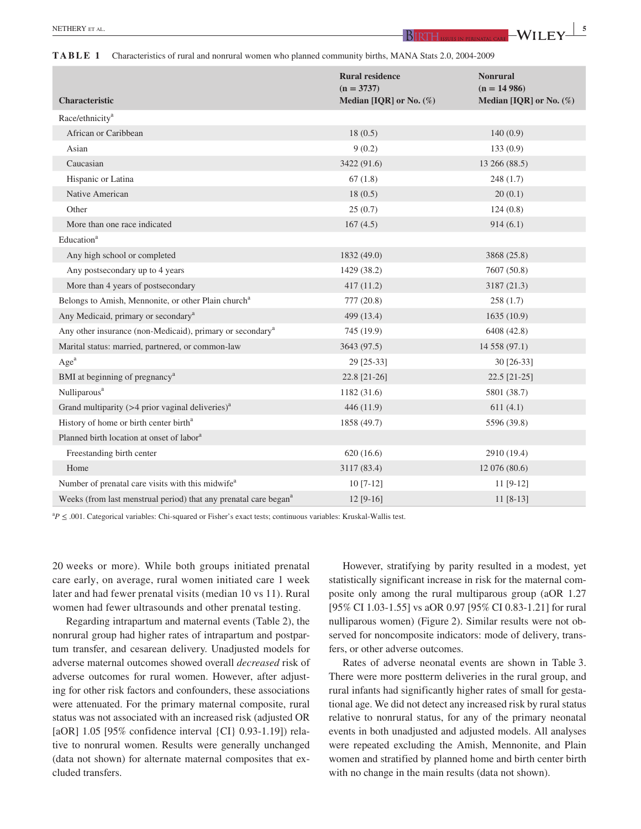**TABLE 1** Characteristics of rural and nonrural women who planned community births, MANA Stats 2.0, 2004-2009

| Characteristic                                                               | <b>Rural residence</b><br>$(n = 3737)$<br>Median [IQR] or No. $(\%)$ | <b>Nonrural</b><br>$(n = 14986)$<br>Median [IQR] or No. $(\%)$ |
|------------------------------------------------------------------------------|----------------------------------------------------------------------|----------------------------------------------------------------|
| Race/ethnicity <sup>a</sup>                                                  |                                                                      |                                                                |
| African or Caribbean                                                         | 18(0.5)                                                              | 140(0.9)                                                       |
| Asian                                                                        | 9(0.2)                                                               | 133(0.9)                                                       |
| Caucasian                                                                    | 3422 (91.6)                                                          | 13 266 (88.5)                                                  |
| Hispanic or Latina                                                           | 67(1.8)                                                              | 248(1.7)                                                       |
| Native American                                                              | 18(0.5)                                                              | 20(0.1)                                                        |
| Other                                                                        | 25(0.7)                                                              | 124(0.8)                                                       |
| More than one race indicated                                                 | 167(4.5)                                                             | 914(6.1)                                                       |
| Education <sup>a</sup>                                                       |                                                                      |                                                                |
| Any high school or completed                                                 | 1832(49.0)                                                           | 3868 (25.8)                                                    |
| Any postsecondary up to 4 years                                              | 1429 (38.2)                                                          | 7607 (50.8)                                                    |
| More than 4 years of postsecondary                                           | 417(11.2)                                                            | 3187 (21.3)                                                    |
| Belongs to Amish, Mennonite, or other Plain church <sup>a</sup>              | 777(20.8)                                                            | 258(1.7)                                                       |
| Any Medicaid, primary or secondary <sup>a</sup>                              | 499 (13.4)                                                           | 1635(10.9)                                                     |
| Any other insurance (non-Medicaid), primary or secondary <sup>a</sup>        | 745 (19.9)                                                           | 6408 (42.8)                                                    |
| Marital status: married, partnered, or common-law                            | 3643 (97.5)                                                          | 14 558 (97.1)                                                  |
| Age <sup>a</sup>                                                             | 29 [25-33]                                                           | 30 [26-33]                                                     |
| BMI at beginning of pregnancy <sup>a</sup>                                   | 22.8 [21-26]                                                         | 22.5 [21-25]                                                   |
| Nulliparous <sup>a</sup>                                                     | 1182(31.6)                                                           | 5801 (38.7)                                                    |
| Grand multiparity ( $>4$ prior vaginal deliveries) <sup>a</sup>              | 446 (11.9)                                                           | 611(4.1)                                                       |
| History of home or birth center birth <sup>a</sup>                           | 1858 (49.7)                                                          | 5596 (39.8)                                                    |
| Planned birth location at onset of labor <sup>a</sup>                        |                                                                      |                                                                |
| Freestanding birth center                                                    | 620 (16.6)                                                           | 2910 (19.4)                                                    |
| Home                                                                         | 3117 (83.4)                                                          | 12 076 (80.6)                                                  |
| Number of prenatal care visits with this midwife <sup>a</sup>                | $10$ [7-12]                                                          | $11 [9-12]$                                                    |
| Weeks (from last menstrual period) that any prenatal care began <sup>a</sup> | $12 [9-16]$                                                          | $11 [8-13]$                                                    |

<sup>a</sup> $P \leq .001$ . Categorical variables: Chi-squared or Fisher's exact tests; continuous variables: Kruskal-Wallis test.

20 weeks or more). While both groups initiated prenatal care early, on average, rural women initiated care 1 week later and had fewer prenatal visits (median 10 vs 11). Rural women had fewer ultrasounds and other prenatal testing.

Regarding intrapartum and maternal events (Table 2), the nonrural group had higher rates of intrapartum and postpartum transfer, and cesarean delivery. Unadjusted models for adverse maternal outcomes showed overall *decreased* risk of adverse outcomes for rural women. However, after adjusting for other risk factors and confounders, these associations were attenuated. For the primary maternal composite, rural status was not associated with an increased risk (adjusted OR [aOR] 1.05 [95% confidence interval {CI} 0.93-1.19]) relative to nonrural women. Results were generally unchanged (data not shown) for alternate maternal composites that excluded transfers.

However, stratifying by parity resulted in a modest, yet statistically significant increase in risk for the maternal composite only among the rural multiparous group (aOR 1.27 [95% CI 1.03-1.55] vs aOR 0.97 [95% CI 0.83-1.21] for rural nulliparous women) (Figure 2). Similar results were not observed for noncomposite indicators: mode of delivery, transfers, or other adverse outcomes.

Rates of adverse neonatal events are shown in Table 3. There were more postterm deliveries in the rural group, and rural infants had significantly higher rates of small for gestational age. We did not detect any increased risk by rural status relative to nonrural status, for any of the primary neonatal events in both unadjusted and adjusted models. All analyses were repeated excluding the Amish, Mennonite, and Plain women and stratified by planned home and birth center birth with no change in the main results (data not shown).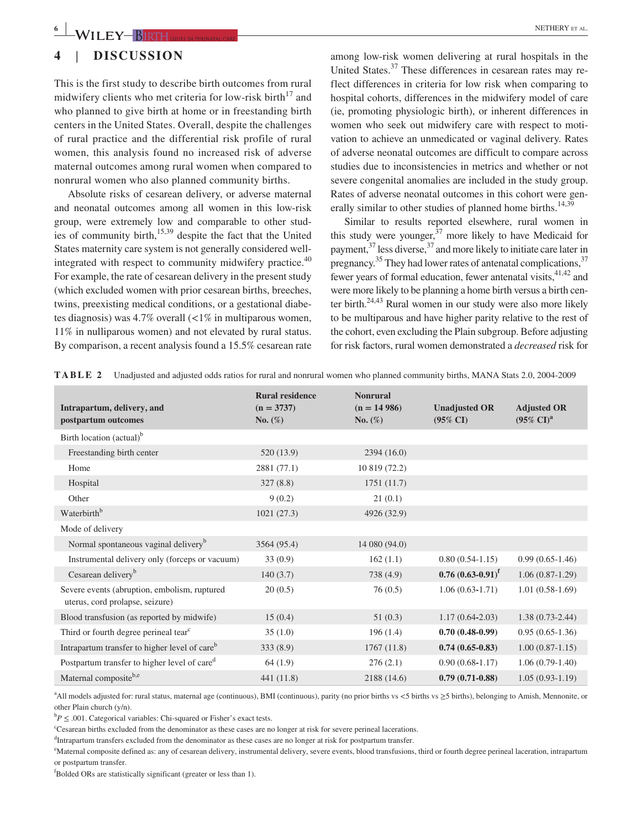# **4** | **DISCUSSION**

This is the first study to describe birth outcomes from rural midwifery clients who met criteria for low-risk birth<sup>17</sup> and who planned to give birth at home or in freestanding birth centers in the United States. Overall, despite the challenges of rural practice and the differential risk profile of rural women, this analysis found no increased risk of adverse maternal outcomes among rural women when compared to nonrural women who also planned community births.

Absolute risks of cesarean delivery, or adverse maternal and neonatal outcomes among all women in this low-risk group, were extremely low and comparable to other studies of community birth, $15,39$  despite the fact that the United States maternity care system is not generally considered wellintegrated with respect to community midwifery practice.<sup>40</sup> For example, the rate of cesarean delivery in the present study (which excluded women with prior cesarean births, breeches, twins, preexisting medical conditions, or a gestational diabetes diagnosis) was  $4.7\%$  overall  $\left(\frac{1}{6} \text{ in multiparous women}\right)$ 11% in nulliparous women) and not elevated by rural status. By comparison, a recent analysis found a 15.5% cesarean rate

among low-risk women delivering at rural hospitals in the United States.<sup>37</sup> These differences in cesarean rates may reflect differences in criteria for low risk when comparing to hospital cohorts, differences in the midwifery model of care (ie, promoting physiologic birth), or inherent differences in women who seek out midwifery care with respect to motivation to achieve an unmedicated or vaginal delivery. Rates of adverse neonatal outcomes are difficult to compare across studies due to inconsistencies in metrics and whether or not severe congenital anomalies are included in the study group. Rates of adverse neonatal outcomes in this cohort were generally similar to other studies of planned home births.<sup>14,39</sup>

Similar to results reported elsewhere, rural women in this study were younger, $37$  more likely to have Medicaid for payment,  $37$  less diverse,  $37$  and more likely to initiate care later in pregnancy.<sup>35</sup> They had lower rates of antenatal complications,  $37$ fewer years of formal education, fewer antenatal visits, <sup>41,42</sup> and were more likely to be planning a home birth versus a birth center birth. $24,43$  Rural women in our study were also more likely to be multiparous and have higher parity relative to the rest of the cohort, even excluding the Plain subgroup. Before adjusting for risk factors, rural women demonstrated a *decreased* risk for

| Intrapartum, delivery, and<br>postpartum outcomes                               | <b>Rural residence</b><br>$(n = 3737)$<br>No. $(\%)$ | <b>Nonrural</b><br>$(n = 14986)$<br>No. $(\%)$ | <b>Unadjusted OR</b><br>$(95\% \text{ CI})$ | <b>Adjusted OR</b><br>$(95\% \text{ CI})^{\text{a}}$ |
|---------------------------------------------------------------------------------|------------------------------------------------------|------------------------------------------------|---------------------------------------------|------------------------------------------------------|
| Birth location (actual) <sup>b</sup>                                            |                                                      |                                                |                                             |                                                      |
| Freestanding birth center                                                       | 520 (13.9)                                           | 2394(16.0)                                     |                                             |                                                      |
| Home                                                                            | 2881 (77.1)                                          | 10 819 (72.2)                                  |                                             |                                                      |
| Hospital                                                                        | 327(8.8)                                             | 1751(11.7)                                     |                                             |                                                      |
| Other                                                                           | 9(0.2)                                               | 21(0.1)                                        |                                             |                                                      |
| Waterbirth <sup>b</sup>                                                         | 1021(27.3)                                           | 4926 (32.9)                                    |                                             |                                                      |
| Mode of delivery                                                                |                                                      |                                                |                                             |                                                      |
| Normal spontaneous vaginal delivery <sup>b</sup>                                | 3564 (95.4)                                          | 14 080 (94.0)                                  |                                             |                                                      |
| Instrumental delivery only (forceps or vacuum)                                  | 33(0.9)                                              | 162(1.1)                                       | $0.80(0.54-1.15)$                           | $0.99(0.65-1.46)$                                    |
| Cesarean delivery <sup>b</sup>                                                  | 140(3.7)                                             | 738 (4.9)                                      | $0.76 (0.63 - 0.91)^f$                      | $1.06(0.87-1.29)$                                    |
| Severe events (abruption, embolism, ruptured<br>uterus, cord prolapse, seizure) | 20(0.5)                                              | 76(0.5)                                        | $1.06(0.63-1.71)$                           | $1.01(0.58-1.69)$                                    |
| Blood transfusion (as reported by midwife)                                      | 15(0.4)                                              | 51(0.3)                                        | $1.17(0.64 - 2.03)$                         | $1.38(0.73-2.44)$                                    |
| Third or fourth degree perineal tear <sup>c</sup>                               | 35(1.0)                                              | 196(1.4)                                       | $0.70(0.48-0.99)$                           | $0.95(0.65-1.36)$                                    |
| Intrapartum transfer to higher level of care <sup>b</sup>                       | 333(8.9)                                             | 1767(11.8)                                     | $0.74(0.65-0.83)$                           | $1.00(0.87-1.15)$                                    |
| Postpartum transfer to higher level of care <sup>d</sup>                        | 64(1.9)                                              | 276(2.1)                                       | $0.90(0.68-1.17)$                           | $1.06(0.79-1.40)$                                    |
| Maternal compositeb,e                                                           | 441(11.8)                                            | 2188 (14.6)                                    | $0.79(0.71-0.88)$                           | $1.05(0.93-1.19)$                                    |

**TABLE 2** Unadjusted and adjusted odds ratios for rural and nonrural women who planned community births, MANA Stats 2.0, 2004-2009

a All models adjusted for: rural status, maternal age (continuous), BMI (continuous), parity (no prior births vs <5 births vs ≥5 births), belonging to Amish, Mennonite, or other Plain church (y/n).

 ${}^{b}P \leq .001$ . Categorical variables: Chi-squared or Fisher's exact tests.

c Cesarean births excluded from the denominator as these cases are no longer at risk for severe perineal lacerations.

d Intrapartum transfers excluded from the denominator as these cases are no longer at risk for postpartum transfer.

e Maternal composite defined as: any of cesarean delivery, instrumental delivery, severe events, blood transfusions, third or fourth degree perineal laceration, intrapartum or postpartum transfer.

f Bolded ORs are statistically significant (greater or less than 1).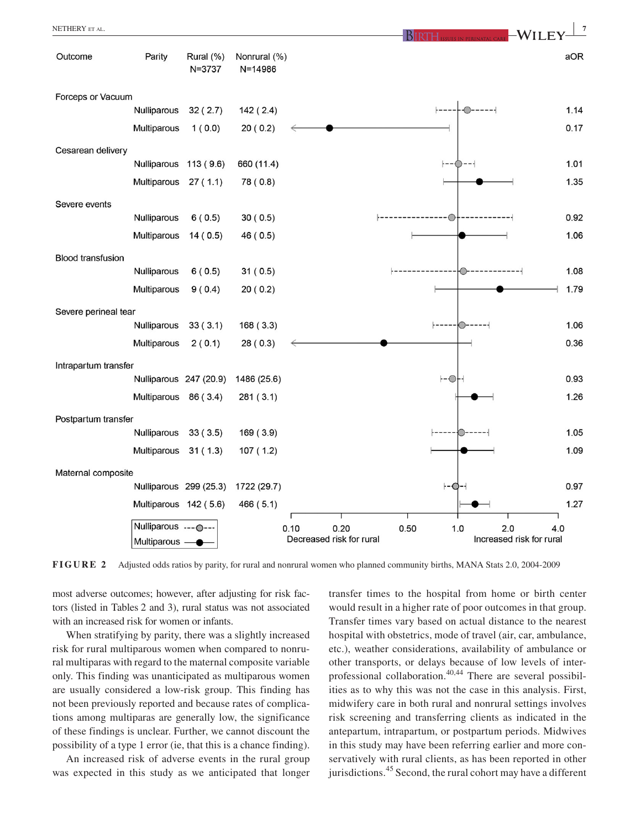

**FIGURE 2** Adjusted odds ratios by parity, for rural and nonrural women who planned community births, MANA Stats 2.0, 2004-2009

most adverse outcomes; however, after adjusting for risk factors (listed in Tables 2 and 3), rural status was not associated with an increased risk for women or infants.

When stratifying by parity, there was a slightly increased risk for rural multiparous women when compared to nonrural multiparas with regard to the maternal composite variable only. This finding was unanticipated as multiparous women are usually considered a low-risk group. This finding has not been previously reported and because rates of complications among multiparas are generally low, the significance of these findings is unclear. Further, we cannot discount the possibility of a type 1 error (ie, that this is a chance finding).

An increased risk of adverse events in the rural group was expected in this study as we anticipated that longer

transfer times to the hospital from home or birth center would result in a higher rate of poor outcomes in that group. Transfer times vary based on actual distance to the nearest hospital with obstetrics, mode of travel (air, car, ambulance, etc.), weather considerations, availability of ambulance or other transports, or delays because of low levels of interprofessional collaboration.<sup>40,44</sup> There are several possibilities as to why this was not the case in this analysis. First, midwifery care in both rural and nonrural settings involves risk screening and transferring clients as indicated in the antepartum, intrapartum, or postpartum periods. Midwives in this study may have been referring earlier and more conservatively with rural clients, as has been reported in other jurisdictions.<sup>45</sup> Second, the rural cohort may have a different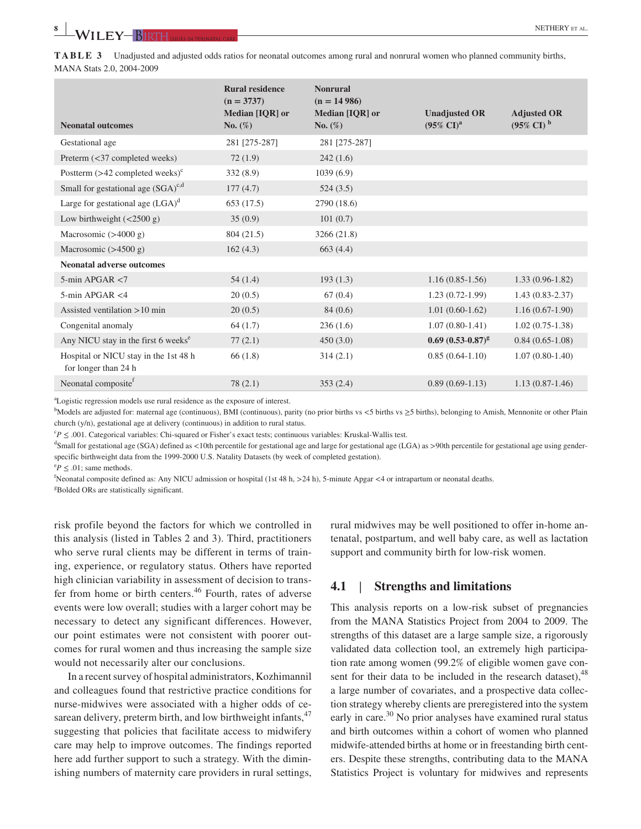**TABLE 3** Unadjusted and adjusted odds ratios for neonatal outcomes among rural and nonrural women who planned community births, MANA Stats 2.0, 2004-2009

| <b>Neonatal outcomes</b>                                      | <b>Rural residence</b><br>$(n = 3737)$<br>Median [IQR] or<br>$\mathbf{No.}$ (%) | <b>Nonrural</b><br>$(n = 14986)$<br>Median [IQR] or<br>No. $(\%)$ | <b>Unadjusted OR</b><br>$(95\% \text{ CI})^{\text{a}}$ | <b>Adjusted OR</b><br>$(95\% \text{ CI})$ <sup>b</sup> |
|---------------------------------------------------------------|---------------------------------------------------------------------------------|-------------------------------------------------------------------|--------------------------------------------------------|--------------------------------------------------------|
| Gestational age                                               | 281 [275-287]                                                                   | 281 [275-287]                                                     |                                                        |                                                        |
| Preterm (<37 completed weeks)                                 | 72(1.9)                                                                         | 242(1.6)                                                          |                                                        |                                                        |
| Postterm $(>42$ completed weeks) <sup>c</sup>                 | 332(8.9)                                                                        | 1039(6.9)                                                         |                                                        |                                                        |
| Small for gestational age $(SGA)^{c,d}$                       | 177(4.7)                                                                        | 524(3.5)                                                          |                                                        |                                                        |
| Large for gestational age $(LGA)^d$                           | 653 (17.5)                                                                      | 2790 (18.6)                                                       |                                                        |                                                        |
| Low birthweight $(<2500 g)$                                   | 35(0.9)                                                                         | 101(0.7)                                                          |                                                        |                                                        |
| Macrosomic $(>4000 g)$                                        | 804 (21.5)                                                                      | 3266 (21.8)                                                       |                                                        |                                                        |
| Macrosomic $(>4500 g)$                                        | 162(4.3)                                                                        | 663 (4.4)                                                         |                                                        |                                                        |
| <b>Neonatal adverse outcomes</b>                              |                                                                                 |                                                                   |                                                        |                                                        |
| $5$ -min APGAR $<$ 7                                          | 54(1.4)                                                                         | 193(1.3)                                                          | $1.16(0.85-1.56)$                                      | $1.33(0.96 - 1.82)$                                    |
| $5$ -min APGAR <4                                             | 20(0.5)                                                                         | 67(0.4)                                                           | $1.23(0.72-1.99)$                                      | $1.43(0.83 - 2.37)$                                    |
| Assisted ventilation $>10$ min                                | 20(0.5)                                                                         | 84(0.6)                                                           | $1.01(0.60-1.62)$                                      | $1.16(0.67-1.90)$                                      |
| Congenital anomaly                                            | 64(1.7)                                                                         | 236(1.6)                                                          | $1.07(0.80-1.41)$                                      | $1.02(0.75-1.38)$                                      |
| Any NICU stay in the first 6 weeks <sup>e</sup>               | 77(2.1)                                                                         | 450(3.0)                                                          | $0.69~(0.53-0.87)^g$                                   | $0.84(0.65-1.08)$                                      |
| Hospital or NICU stay in the 1st 48 h<br>for longer than 24 h | 66(1.8)                                                                         | 314(2.1)                                                          | $0.85(0.64-1.10)$                                      | $1.07(0.80-1.40)$                                      |
| Neonatal composite <sup>f</sup>                               | 78(2.1)                                                                         | 353(2.4)                                                          | $0.89(0.69-1.13)$                                      | $1.13(0.87-1.46)$                                      |
|                                                               |                                                                                 |                                                                   |                                                        |                                                        |

a Logistic regression models use rural residence as the exposure of interest.

b Models are adjusted for: maternal age (continuous), BMI (continuous), parity (no prior births vs <5 births vs ≥5 births), belonging to Amish, Mennonite or other Plain church (y/n), gestational age at delivery (continuous) in addition to rural status.

c *P* ≤ .001. Categorical variables: Chi-squared or Fisher's exact tests; continuous variables: Kruskal-Wallis test.

<sup>d</sup>Small for gestational age (SGA) defined as <10th percentile for gestational age and large for gestational age (LGA) as >90th percentile for gestational age using genderspecific birthweight data from the 1999-2000 U.S. Natality Datasets (by week of completed gestation).

 $e^e P \leq .01$ ; same methods.

f Neonatal composite defined as: Any NICU admission or hospital (1st 48 h, >24 h), 5-minute Apgar <4 or intrapartum or neonatal deaths.

g Bolded ORs are statistically significant.

risk profile beyond the factors for which we controlled in this analysis (listed in Tables 2 and 3). Third, practitioners who serve rural clients may be different in terms of training, experience, or regulatory status. Others have reported high clinician variability in assessment of decision to transfer from home or birth centers.<sup>46</sup> Fourth, rates of adverse events were low overall; studies with a larger cohort may be necessary to detect any significant differences. However, our point estimates were not consistent with poorer outcomes for rural women and thus increasing the sample size would not necessarily alter our conclusions.

In a recent survey of hospital administrators, Kozhimannil and colleagues found that restrictive practice conditions for nurse-midwives were associated with a higher odds of cesarean delivery, preterm birth, and low birthweight infants, $47$ suggesting that policies that facilitate access to midwifery care may help to improve outcomes. The findings reported here add further support to such a strategy. With the diminishing numbers of maternity care providers in rural settings,

rural midwives may be well positioned to offer in-home antenatal, postpartum, and well baby care, as well as lactation support and community birth for low-risk women.

# **4.1** | **Strengths and limitations**

This analysis reports on a low-risk subset of pregnancies from the MANA Statistics Project from 2004 to 2009. The strengths of this dataset are a large sample size, a rigorously validated data collection tool, an extremely high participation rate among women (99.2% of eligible women gave consent for their data to be included in the research dataset), <sup>48</sup> a large number of covariates, and a prospective data collection strategy whereby clients are preregistered into the system early in care.<sup>30</sup> No prior analyses have examined rural status and birth outcomes within a cohort of women who planned midwife-attended births at home or in freestanding birth centers. Despite these strengths, contributing data to the MANA Statistics Project is voluntary for midwives and represents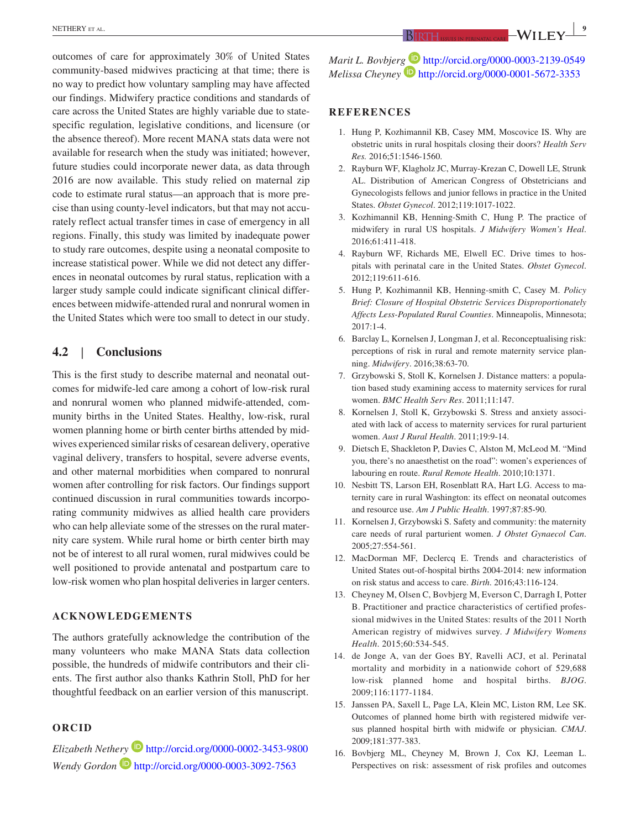outcomes of care for approximately 30% of United States community-based midwives practicing at that time; there is no way to predict how voluntary sampling may have affected our findings. Midwifery practice conditions and standards of care across the United States are highly variable due to statespecific regulation, legislative conditions, and licensure (or the absence thereof). More recent MANA stats data were not available for research when the study was initiated; however, future studies could incorporate newer data, as data through 2016 are now available. This study relied on maternal zip code to estimate rural status—an approach that is more precise than using county-level indicators, but that may not accurately reflect actual transfer times in case of emergency in all regions. Finally, this study was limited by inadequate power to study rare outcomes, despite using a neonatal composite to increase statistical power. While we did not detect any differences in neonatal outcomes by rural status, replication with a larger study sample could indicate significant clinical differences between midwife-attended rural and nonrural women in the United States which were too small to detect in our study.

# **4.2** | **Conclusions**

This is the first study to describe maternal and neonatal outcomes for midwife-led care among a cohort of low-risk rural and nonrural women who planned midwife-attended, community births in the United States. Healthy, low-risk, rural women planning home or birth center births attended by midwives experienced similar risks of cesarean delivery, operative vaginal delivery, transfers to hospital, severe adverse events, and other maternal morbidities when compared to nonrural women after controlling for risk factors. Our findings support continued discussion in rural communities towards incorporating community midwives as allied health care providers who can help alleviate some of the stresses on the rural maternity care system. While rural home or birth center birth may not be of interest to all rural women, rural midwives could be well positioned to provide antenatal and postpartum care to low-risk women who plan hospital deliveries in larger centers.

### **ACKNOWLEDGEMENTS**

The authors gratefully acknowledge the contribution of the many volunteers who make MANA Stats data collection possible, the hundreds of midwife contributors and their clients. The first author also thanks Kathrin Stoll, PhD for her thoughtful feedback on an earlier version of this manuscript.

## **ORCID**

*Elizabeth Nethery* http://orcid.org/0000-0002-3453-9800 *Wendy Gordon* **b** http://orcid.org/0000-0003-3092-7563

*Marit L. Bovbjerg* **b** http://orcid.org/0000-0003-2139-0549 *Melissa Cheyney* http://orcid.org/0000-0001-5672-3353

#### **REFERENCES**

- 1. Hung P, Kozhimannil KB, Casey MM, Moscovice IS. Why are obstetric units in rural hospitals closing their doors? *Health Serv Res.* 2016;51:1546‐1560.
- 2. Rayburn WF, Klagholz JC, Murray-Krezan C, Dowell LE, Strunk AL. Distribution of American Congress of Obstetricians and Gynecologists fellows and junior fellows in practice in the United States. *Obstet Gynecol*. 2012;119:1017‐1022.
- 3. Kozhimannil KB, Henning-Smith C, Hung P. The practice of midwifery in rural US hospitals. *J Midwifery Women's Heal*. 2016;61:411‐418.
- 4. Rayburn WF, Richards ME, Elwell EC. Drive times to hospitals with perinatal care in the United States. *Obstet Gynecol*. 2012;119:611‐616.
- 5. Hung P, Kozhimannil KB, Henning-smith C, Casey M. *Policy Brief: Closure of Hospital Obstetric Services Disproportionately Affects Less-Populated Rural Counties*. Minneapolis, Minnesota;  $2017:1-4$ .
- 6. Barclay L, Kornelsen J, Longman J, et al. Reconceptualising risk: perceptions of risk in rural and remote maternity service planning. *Midwifery*. 2016;38:63‐70.
- 7. Grzybowski S, Stoll K, Kornelsen J. Distance matters: a population based study examining access to maternity services for rural women. *BMC Health Serv Res*. 2011;11:147.
- 8. Kornelsen J, Stoll K, Grzybowski S. Stress and anxiety associated with lack of access to maternity services for rural parturient women. *Aust J Rural Health*. 2011;19:9‐14.
- 9. Dietsch E, Shackleton P, Davies C, Alston M, McLeod M. "Mind you, there's no anaesthetist on the road": women's experiences of labouring en route. *Rural Remote Health*. 2010;10:1371.
- 10. Nesbitt TS, Larson EH, Rosenblatt RA, Hart LG. Access to maternity care in rural Washington: its effect on neonatal outcomes and resource use. *Am J Public Health*. 1997;87:85‐90.
- 11. Kornelsen J, Grzybowski S. Safety and community: the maternity care needs of rural parturient women. *J Obstet Gynaecol Can*. 2005;27:554‐561.
- 12. MacDorman MF, Declercq E. Trends and characteristics of United States out-of-hospital births 2004-2014: new information on risk status and access to care. *Birth*. 2016;43:116‐124.
- 13. Cheyney M, Olsen C, Bovbjerg M, Everson C, Darragh I, Potter B. Practitioner and practice characteristics of certified professional midwives in the United States: results of the 2011 North American registry of midwives survey. *J Midwifery Womens Health*. 2015;60:534‐545.
- 14. de Jonge A, van der Goes BY, Ravelli ACJ, et al. Perinatal mortality and morbidity in a nationwide cohort of 529,688 low-risk planned home and hospital births. *BJOG*. 2009;116:1177‐1184.
- 15. Janssen PA, Saxell L, Page LA, Klein MC, Liston RM, Lee SK. Outcomes of planned home birth with registered midwife versus planned hospital birth with midwife or physician. *CMAJ*. 2009;181:377‐383.
- 16. Bovbjerg ML, Cheyney M, Brown J, Cox KJ, Leeman L. Perspectives on risk: assessment of risk profiles and outcomes